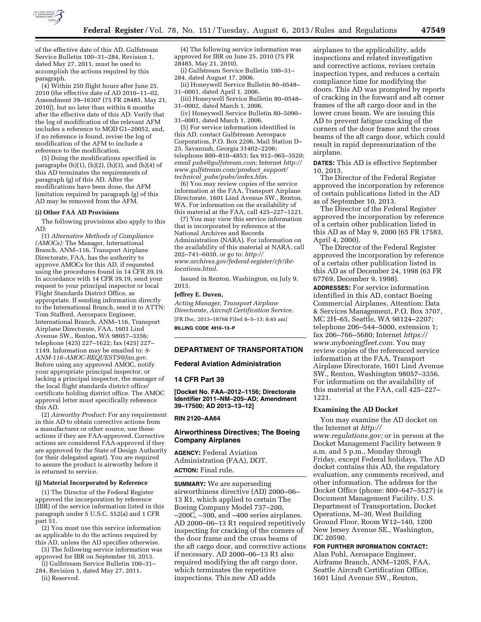

of the effective date of this AD, Gulfstream Service Bulletin 100–31–284, Revision 1, dated May 27, 2011, must be used to accomplish the actions required by this paragraph.

(4) Within 250 flight hours after June 25, 2010 (the effective date of AD 2010–11–02, Amendment 39–16307 (75 FR 28485, May 21, 2010)), but no later than within 6 months after the effective date of this AD: Verify that the log of modification of the relevant AFM includes a reference to MOD G1–20052, and, if no reference is found, revise the log of modification of the AFM to include a reference to the modification.

(5) Doing the modifications specified in paragraphs  $(h)(1)$ ,  $(h)(2)$ ,  $(h)(3)$ , and  $(h)(4)$  of this AD terminates the requirements of paragraph (g) of this AD. After the modifications have been done, the AFM limitation required by paragraph (g) of this AD may be removed from the AFM.

#### **(i) Other FAA AD Provisions**

The following provisions also apply to this AD:

(1) *Alternative Methods of Compliance (AMOCs):* The Manager, International Branch, ANM–116, Transport Airplane Directorate, FAA, has the authority to approve AMOCs for this AD, if requested using the procedures found in 14 CFR 39.19. In accordance with 14 CFR 39.19, send your request to your principal inspector or local Flight Standards District Office, as appropriate. If sending information directly to the International Branch, send it to ATTN: Tom Stafford, Aerospace Engineer, International Branch, ANM–116, Transport Airplane Directorate, FAA, 1601 Lind Avenue SW., Renton, WA 98057–3356; telephone (425) 227–1622; fax (425) 227– 1149. Information may be emailed to: *[9-](mailto:9-ANM-116-AMOC-REQUESTS@faa.gov)  [ANM-116-AMOC-REQUESTS@faa.gov.](mailto:9-ANM-116-AMOC-REQUESTS@faa.gov)*  Before using any approved AMOC, notify your appropriate principal inspector, or lacking a principal inspector, the manager of the local flight standards district office/ certificate holding district office. The AMOC approval letter must specifically reference this AD.

(2) *Airworthy Product:* For any requirement in this AD to obtain corrective actions from a manufacturer or other source, use these actions if they are FAA-approved. Corrective actions are considered FAA-approved if they are approved by the State of Design Authority (or their delegated agent). You are required to assure the product is airworthy before it is returned to service.

### **(j) Material Incorporated by Reference**

(1) The Director of the Federal Register approved the incorporation by reference (IBR) of the service information listed in this paragraph under 5 U.S.C. 552(a) and 1 CFR part 51.

(2) You must use this service information as applicable to do the actions required by this AD, unless the AD specifies otherwise.

(3) The following service information was approved for IBR on September 10, 2013.

(i) Gulfstream Service Bulletin 100–31– 284, Revision 1, dated May 27, 2011.

(ii) Reserved.

(4) The following service information was approved for IBR on June 25, 2010 (75 FR 28485, May 21, 2010).

(i) Gulfstream Service Bulletin 100–31– 284, dated August 17, 2006.

(ii) Honeywell Service Bulletin 80–0548– 31–0001, dated April 1, 2006.

(iii) Honeywell Service Bulletin 80–0548– 31–0002, dated March 1, 2006.

(iv) Honeywell Service Bulletin 80–5090– 31–0001, dated March 1, 2006.

(5) For service information identified in this AD, contact Gulfstream Aerospace Corporation, P.O. Box 2206, Mail Station D– 25, Savannah, Georgia 31402–2206; telephone 800–810–4853; fax 912–965–3520; *email [pubs@gulfstream.com;](mailto:pubs@gulfstream.com)* Internet *[http://](http://www.gulfstream.com/product_support/technical_pubs/pubs/index.htm) [www.gulfstream.com/product](http://www.gulfstream.com/product_support/technical_pubs/pubs/index.htm)*\_*support/ technical*\_*[pubs/pubs/index.htm.](http://www.gulfstream.com/product_support/technical_pubs/pubs/index.htm)* 

(6) You may review copies of the service information at the FAA, Transport Airplane Directorate, 1601 Lind Avenue SW., Renton, WA. For information on the availability of this material at the FAA, call 425–227–1221.

(7) You may view this service information that is incorporated by reference at the National Archives and Records Administration (NARA). For information on the availability of this material at NARA, call 202–741–6030, or go to: *[http://](http://www.archives.gov/federal-register/cfr/ibr-locations.html) [www.archives.gov/federal-register/cfr/ibr](http://www.archives.gov/federal-register/cfr/ibr-locations.html)[locations.html.](http://www.archives.gov/federal-register/cfr/ibr-locations.html)* 

Issued in Renton, Washington, on July 9, 2013.

## **Jeffrey E. Duven,**

*Acting Manager, Transport Airplane Directorate, Aircraft Certification Service.*  [FR Doc. 2013–18768 Filed 8–5–13; 8:45 am] **BILLING CODE 4910–13–P** 

## **DEPARTMENT OF TRANSPORTATION**

### **Federal Aviation Administration**

## **14 CFR Part 39**

**[Docket No. FAA–2012–1156; Directorate Identifier 2011–NM–205–AD; Amendment 39–17500; AD 2013–13–12]** 

## **RIN 2120–AA64**

## **Airworthiness Directives; The Boeing Company Airplanes**

**AGENCY:** Federal Aviation Administration (FAA), DOT. **ACTION:** Final rule.

**SUMMARY:** We are superseding airworthiness directive (AD) 2000–06– 13 R1, which applied to certain The Boeing Company Model 737–200, –200C, –300, and –400 series airplanes. AD 2000–06–13 R1 required repetitively inspecting for cracking of the corners of the door frame and the cross beams of the aft cargo door, and corrective actions if necessary. AD 2000–06–13 R1 also required modifying the aft cargo door, which terminates the repetitive inspections. This new AD adds

airplanes to the applicability, adds inspections and related investigative and corrective actions, revises certain inspection types, and reduces a certain compliance time for modifying the doors. This AD was prompted by reports of cracking in the forward and aft corner frames of the aft cargo door and in the lower cross beam. We are issuing this AD to prevent fatigue cracking of the corners of the door frame and the cross beams of the aft cargo door, which could result in rapid depressurization of the airplane.

**DATES:** This AD is effective September 10, 2013.

The Director of the Federal Register approved the incorporation by reference of certain publications listed in the AD as of September 10, 2013.

The Director of the Federal Register approved the incorporation by reference of a certain other publication listed in this AD as of May 9, 2000 (65 FR 17583, April 4, 2000).

The Director of the Federal Register approved the incorporation by reference of a certain other publication listed in this AD as of December 24, 1998 (63 FR 67769, December 9, 1998).

**ADDRESSES:** For service information identified in this AD, contact Boeing Commercial Airplanes, Attention: Data & Services Management, P.O. Box 3707, MC 2H–65, Seattle, WA 98124–2207; telephone 206–544–5000, extension 1; fax 206–766–5680; Internet *[https://](https://www.myboeingfleet.com) [www.myboeingfleet.com.](https://www.myboeingfleet.com)* You may review copies of the referenced service information at the FAA, Transport Airplane Directorate, 1601 Lind Avenue SW., Renton, Washington 98057–3356. For information on the availability of this material at the FAA, call 425–227– 1221.

### **Examining the AD Docket**

You may examine the AD docket on the Internet at *[http://](http://www.regulations.gov)  [www.regulations.gov;](http://www.regulations.gov)* or in person at the Docket Management Facility between 9 a.m. and 5 p.m., Monday through Friday, except Federal holidays. The AD docket contains this AD, the regulatory evaluation, any comments received, and other information. The address for the Docket Office (phone: 800–647–5527) is Document Management Facility, U.S. Department of Transportation, Docket Operations, M–30, West Building Ground Floor, Room W12–140, 1200 New Jersey Avenue SE., Washington, DC 20590.

**FOR FURTHER INFORMATION CONTACT:**  Alan Pohl, Aerospace Engineer, Airframe Branch, ANM–120S, FAA, Seattle Aircraft Certification Office, 1601 Lind Avenue SW., Renton,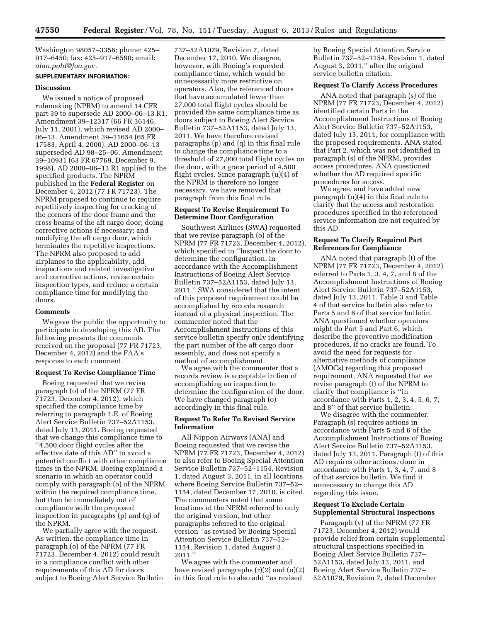Washington 98057–3356; phone: 425– 917–6450; fax: 425–917–6590; email: *[alan.pohl@faa.gov.](mailto:alan.pohl@faa.gov)* 

## **SUPPLEMENTARY INFORMATION:**

### **Discussion**

We issued a notice of proposed rulemaking (NPRM) to amend 14 CFR part 39 to supersede AD 2000–06–13 R1, Amendment 39–12317 (66 FR 36146, July 11, 2001), which revised AD 2000– 06–13, Amendment 39–11654 (65 FR 17583, April 4, 2000). AD 2000–06–13 superseded AD 98–25–06, Amendment 39–10931 (63 FR 67769, December 9, 1998). AD 2000–06–13 R1 applied to the specified products. The NPRM published in the **Federal Register** on December 4, 2012 (77 FR 71723). The NPRM proposed to continue to require repetitively inspecting for cracking of the corners of the door frame and the cross beams of the aft cargo door; doing corrective actions if necessary; and modifying the aft cargo door, which terminates the repetitive inspections. The NPRM also proposed to add airplanes to the applicability, add inspections and related investigative and corrective actions, revise certain inspection types, and reduce a certain compliance time for modifying the doors.

#### **Comments**

We gave the public the opportunity to participate in developing this AD. The following presents the comments received on the proposal (77 FR 71723, December 4, 2012) and the FAA's response to each comment.

### **Request To Revise Compliance Time**

Boeing requested that we revise paragraph (o) of the NPRM (77 FR 71723, December 4, 2012), which specified the compliance time by referring to paragraph 1.E. of Boeing Alert Service Bulletin 737–52A1153, dated July 13, 2011. Boeing requested that we change this compliance time to ''4,500 door flight cycles after the effective date of this AD'' to avoid a potential conflict with other compliance times in the NPRM. Boeing explained a scenario in which an operator could comply with paragraph (o) of the NPRM within the required compliance time, but then be immediately out of compliance with the proposed inspection in paragraphs (p) and (q) of the NPRM.

We partially agree with the request. As written, the compliance time in paragraph (o) of the NPRM (77 FR 71723, December 4, 2012) could result in a compliance conflict with other requirements of this AD for doors subject to Boeing Alert Service Bulletin

737–52A1079, Revision 7, dated December 17, 2010. We disagree, however, with Boeing's requested compliance time, which would be unnecessarily more restrictive on operators. Also, the referenced doors that have accumulated fewer than 27,000 total flight cycles should be provided the same compliance time as doors subject to Boeing Alert Service Bulletin 737–52A1153, dated July 13, 2011. We have therefore revised paragraphs (p) and (q) in this final rule to change the compliance time to a threshold of 27,000 total flight cycles on the door, with a grace period of 4,500 flight cycles. Since paragraph (u)(4) of the NPRM is therefore no longer necessary, we have removed that paragraph from this final rule.

## **Request To Revise Requirement To Determine Door Configuration**

Southwest Airlines (SWA) requested that we revise paragraph (o) of the NPRM (77 FR 71723, December 4, 2012), which specified to ''Inspect the door to determine the configuration, in accordance with the Accomplishment Instructions of Boeing Alert Service Bulletin 737–52A1153, dated July 13, 2011.'' SWA considered that the intent of this proposed requirement could be accomplished by records research instead of a physical inspection. The commenter noted that the Accomplishment Instructions of this service bulletin specify only identifying the part number of the aft cargo door assembly, and does not specify a method of accomplishment.

We agree with the commenter that a records review is acceptable in lieu of accomplishing an inspection to determine the configuration of the door. We have changed paragraph (o) accordingly in this final rule.

# **Request To Refer To Revised Service Information**

All Nippon Airways (ANA) and Boeing requested that we revise the NPRM (77 FR 71723, December 4, 2012) to also refer to Boeing Special Attention Service Bulletin 737–52–1154, Revision 1, dated August 3, 2011, in all locations where Boeing Service Bulletin 737–52– 1154, dated December 17, 2010, is cited. The commenters noted that some locations of the NPRM referred to only the original version, but other paragraphs referred to the original version ''as revised by Boeing Special Attention Service Bulletin 737–52– 1154, Revision 1, dated August 3, 2011.''

We agree with the commenter and have revised paragraphs (r)(2) and (u)(2) in this final rule to also add ''as revised

by Boeing Special Attention Service Bulletin 737–52–1154, Revision 1, dated August 3, 2011,'' after the original service bulletin citation.

### **Request To Clarify Access Procedures**

ANA noted that paragraph (s) of the NPRM (77 FR 71723, December 4, 2012) identified certain Parts in the Accomplishment Instructions of Boeing Alert Service Bulletin 737–52A1153, dated July 13, 2011, for compliance with the proposed requirements. ANA stated that Part 2, which was not identified in paragraph (s) of the NPRM, provides access procedures. ANA questioned whether the AD required specific procedures for access.

We agree, and have added new paragraph (u)(4) in this final rule to clarify that the access and restoration procedures specified in the referenced service information are not required by this AD.

## **Request To Clarify Required Part References for Compliance**

ANA noted that paragraph (t) of the NPRM (77 FR 71723, December 4, 2012) referred to Parts 1, 3, 4, 7, and 8 of the Accomplishment Instructions of Boeing Alert Service Bulletin 737–52A1153, dated July 13, 2011. Table 3 and Table 4 of that service bulletin also refer to Parts 5 and 6 of that service bulletin. ANA questioned whether operators might do Part 5 and Part 6, which describe the preventive modification procedures, if no cracks are found. To avoid the need for requests for alternative methods of compliance (AMOCs) regarding this proposed requirement, ANA requested that we revise paragraph (t) of the NPRM to clarify that compliance is ''in accordance with Parts 1, 2, 3, 4, 5, 6, 7, and 8'' of that service bulletin.

We disagree with the commenter. Paragraph (s) requires actions in accordance with Parts 5 and 6 of the Accomplishment Instructions of Boeing Alert Service Bulletin 737–52A1153, dated July 13, 2011. Paragraph (t) of this AD requires other actions, done in accordance with Parts 1, 3, 4, 7, and 8 of that service bulletin. We find it unnecessary to change this AD regarding this issue.

## **Request To Exclude Certain Supplemental Structural Inspections**

Paragraph (v) of the NPRM (77 FR 71723, December 4, 2012) would provide relief from certain supplemental structural inspections specified in Boeing Alert Service Bulletin 737– 52A1153, dated July 13, 2011, and Boeing Alert Service Bulletin 737– 52A1079, Revision 7, dated December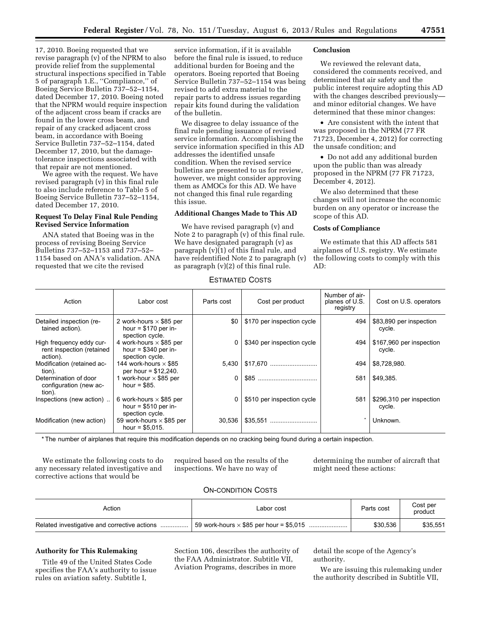17, 2010. Boeing requested that we revise paragraph (v) of the NPRM to also provide relief from the supplemental structural inspections specified in Table 5 of paragraph 1.E., ''Compliance,'' of Boeing Service Bulletin 737–52–1154, dated December 17, 2010. Boeing noted that the NPRM would require inspection of the adjacent cross beam if cracks are found in the lower cross beam, and repair of any cracked adjacent cross beam, in accordance with Boeing Service Bulletin 737–52–1154, dated December 17, 2010, but the damagetolerance inspections associated with that repair are not mentioned.

We agree with the request. We have revised paragraph (v) in this final rule to also include reference to Table 5 of Boeing Service Bulletin 737–52–1154, dated December 17, 2010.

## **Request To Delay Final Rule Pending Revised Service Information**

ANA stated that Boeing was in the process of revising Boeing Service Bulletins 737–52–1153 and 737–52– 1154 based on ANA's validation. ANA requested that we cite the revised

service information, if it is available before the final rule is issued, to reduce additional burden for Boeing and the operators. Boeing reported that Boeing Service Bulletin 737–52–1154 was being revised to add extra material to the repair parts to address issues regarding repair kits found during the validation of the bulletin.

We disagree to delay issuance of the final rule pending issuance of revised service information. Accomplishing the service information specified in this AD addresses the identified unsafe condition. When the revised service bulletins are presented to us for review, however, we might consider approving them as AMOCs for this AD. We have not changed this final rule regarding this issue.

# **Additional Changes Made to This AD**

We have revised paragraph (v) and Note 2 to paragraph (v) of this final rule. We have designated paragraph (v) as paragraph (v)(1) of this final rule, and have reidentified Note 2 to paragraph (v) as paragraph (v)(2) of this final rule.

## **Conclusion**

We reviewed the relevant data, considered the comments received, and determined that air safety and the public interest require adopting this AD with the changes described previously and minor editorial changes. We have determined that these minor changes:

• Are consistent with the intent that was proposed in the NPRM (77 FR 71723, December 4, 2012) for correcting the unsafe condition; and

• Do not add any additional burden upon the public than was already proposed in the NPRM (77 FR 71723, December 4, 2012).

We also determined that these changes will not increase the economic burden on any operator or increase the scope of this AD.

## **Costs of Compliance**

We estimate that this AD affects 581 airplanes of U.S. registry. We estimate the following costs to comply with this AD:

| Action                                                            | Labor cost                                                                 | Parts cost | Cost per product           | Number of air-<br>planes of U.S.<br>registry | Cost on U.S. operators             |
|-------------------------------------------------------------------|----------------------------------------------------------------------------|------------|----------------------------|----------------------------------------------|------------------------------------|
| Detailed inspection (re-<br>tained action).                       | 2 work-hours $\times$ \$85 per<br>hour = $$170$ per in-<br>spection cycle. | \$0        | \$170 per inspection cycle | 494                                          | \$83,890 per inspection<br>cycle.  |
| High frequency eddy cur-<br>rent inspection (retained<br>action). | 4 work-hours $\times$ \$85 per<br>hour = $$340$ per in-<br>spection cycle. | 0          | \$340 per inspection cycle | 494                                          | \$167,960 per inspection<br>cycle. |
| Modification (retained ac-<br>tion).                              | 144 work-hours $\times$ \$85<br>per hour = $$12,240$ .                     | 5,430      | \$17,670                   | 494                                          | \$8,728,980.                       |
| Determination of door<br>configuration (new ac-<br>tion).         | 1 work-hour $\times$ \$85 per<br>hour = $$85.$                             | 0          |                            | 581                                          | \$49,385.                          |
| Inspections (new action)                                          | 6 work-hours $\times$ \$85 per<br>hour = $$510$ per in-<br>spection cycle. | 0          | \$510 per inspection cycle | 581                                          | \$296,310 per inspection<br>cycle. |
| Modification (new action)                                         | 59 work-hours $\times$ \$85 per<br>hour = $$5,015$ .                       | 30.536     |                            |                                              | Unknown.                           |

ESTIMATED COSTS

\* The number of airplanes that require this modification depends on no cracking being found during a certain inspection.

We estimate the following costs to do any necessary related investigative and corrective actions that would be

required based on the results of the inspections. We have no way of

determining the number of aircraft that might need these actions:

# ON-CONDITION COSTS

| Action | Labor cost | Parts cost | Cost per<br>product |
|--------|------------|------------|---------------------|
|        |            | \$30.536   | \$35.551            |

### **Authority for This Rulemaking**

Title 49 of the United States Code specifies the FAA's authority to issue rules on aviation safety. Subtitle I,

Section 106, describes the authority of the FAA Administrator. Subtitle VII, Aviation Programs, describes in more

detail the scope of the Agency's authority.

We are issuing this rulemaking under the authority described in Subtitle VII,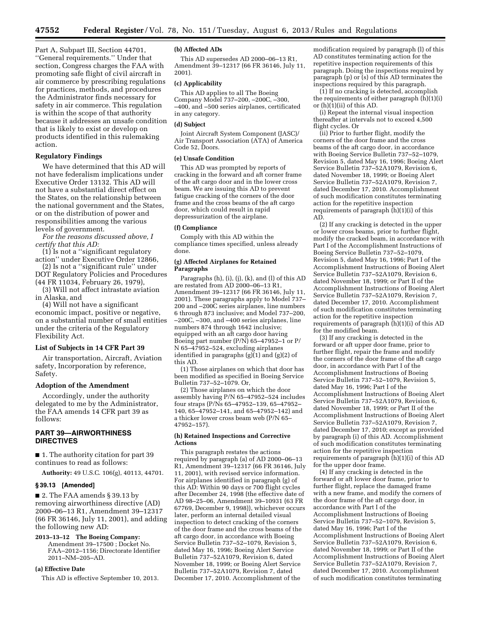Part A, Subpart III, Section 44701, ''General requirements.'' Under that section, Congress charges the FAA with promoting safe flight of civil aircraft in air commerce by prescribing regulations for practices, methods, and procedures the Administrator finds necessary for safety in air commerce. This regulation is within the scope of that authority because it addresses an unsafe condition that is likely to exist or develop on products identified in this rulemaking action.

## **Regulatory Findings**

We have determined that this AD will not have federalism implications under Executive Order 13132. This AD will not have a substantial direct effect on the States, on the relationship between the national government and the States, or on the distribution of power and responsibilities among the various levels of government.

*For the reasons discussed above, I certify that this AD:* 

(1) Is not a ''significant regulatory action'' under Executive Order 12866,

(2) Is not a ''significant rule'' under DOT Regulatory Policies and Procedures (44 FR 11034, February 26, 1979),

(3) Will not affect intrastate aviation in Alaska, and

(4) Will not have a significant economic impact, positive or negative, on a substantial number of small entities under the criteria of the Regulatory Flexibility Act.

#### **List of Subjects in 14 CFR Part 39**

Air transportation, Aircraft, Aviation safety, Incorporation by reference, Safety.

### **Adoption of the Amendment**

Accordingly, under the authority delegated to me by the Administrator, the FAA amends 14 CFR part 39 as follows:

## **PART 39—AIRWORTHINESS DIRECTIVES**

■ 1. The authority citation for part 39 continues to read as follows:

**Authority:** 49 U.S.C. 106(g), 40113, 44701.

## **§ 39.13 [Amended]**

■ 2. The FAA amends § 39.13 by removing airworthiness directive (AD) 2000–06–13 R1, Amendment 39–12317 (66 FR 36146, July 11, 2001), and adding the following new AD:

**2013–13–12 The Boeing Company:**  Amendment 39–17500 ; Docket No. FAA–2012–1156; Directorate Identifier 2011–NM–205–AD.

## **(a) Effective Date**

This AD is effective September 10, 2013.

### **(b) Affected ADs**

This AD supersedes AD 2000–06–13 R1, Amendment 39–12317 (66 FR 36146, July 11, 2001).

#### **(c) Applicability**

This AD applies to all The Boeing Company Model 737–200, –200C, –300, –400, and –500 series airplanes, certificated in any category.

### **(d) Subject**

Joint Aircraft System Component (JASC)/ Air Transport Association (ATA) of America Code 52, Doors.

#### **(e) Unsafe Condition**

This AD was prompted by reports of cracking in the forward and aft corner frame of the aft cargo door and in the lower cross beam. We are issuing this AD to prevent fatigue cracking of the corners of the door frame and the cross beams of the aft cargo door, which could result in rapid depressurization of the airplane.

#### **(f) Compliance**

Comply with this AD within the compliance times specified, unless already done.

#### **(g) Affected Airplanes for Retained Paragraphs**

Paragraphs (h), (i), (j), (k), and (l) of this AD are restated from AD 2000–06–13 R1, Amendment 39–12317 (66 FR 36146, July 11, 2001). These paragraphs apply to Model 737– 200 and –200C series airplanes, line numbers 6 through 873 inclusive; and Model 737–200, –200C, –300, and –400 series airplanes, line numbers 874 through 1642 inclusive; equipped with an aft cargo door having Boeing part number (P/N) 65–47952–1 or P/ N 65–47952–524, excluding airplanes identified in paragraphs (g)(1) and (g)(2) of this AD.

(1) Those airplanes on which that door has been modified as specified in Boeing Service Bulletin 737–52–1079. Or,

(2) Those airplanes on which the door assembly having P/N 65–47952–524 includes four straps (P/Ns 65–47952–139, 65–47952– 140, 65–47952–141, and 65–47952–142) and a thicker lower cross beam web (P/N 65– 47952–157).

### **(h) Retained Inspections and Corrective Actions**

This paragraph restates the actions required by paragraph (a) of AD 2000–06–13 R1, Amendment 39–12317 (66 FR 36146, July 11, 2001), with revised service information. For airplanes identified in paragraph (g) of this AD: Within 90 days or 700 flight cycles after December 24, 1998 (the effective date of AD 98–25–06, Amendment 39–10931 (63 FR 67769, December 9, 1998)), whichever occurs later, perform an internal detailed visual inspection to detect cracking of the corners of the door frame and the cross beams of the aft cargo door, in accordance with Boeing Service Bulletin 737–52–1079, Revision 5, dated May 16, 1996; Boeing Alert Service Bulletin 737–52A1079, Revision 6, dated November 18, 1999; or Boeing Alert Service Bulletin 737–52A1079, Revision 7, dated December 17, 2010. Accomplishment of the

modification required by paragraph (l) of this AD constitutes terminating action for the repetitive inspection requirements of this paragraph. Doing the inspections required by paragraph (p) or (s) of this AD terminates the inspections required by this paragraph.

(1) If no cracking is detected, accomplish the requirements of either paragraph (h)(1)(i) or (h)(1)(ii) of this AD.

(i) Repeat the internal visual inspection thereafter at intervals not to exceed 4,500 flight cycles. Or

(ii) Prior to further flight, modify the corners of the door frame and the cross beams of the aft cargo door, in accordance with Boeing Service Bulletin 737–52–1079, Revision 5, dated May 16, 1996; Boeing Alert Service Bulletin 737–52A1079, Revision 6, dated November 18, 1999; or Boeing Alert Service Bulletin 737–52A1079, Revision 7, dated December 17, 2010. Accomplishment of such modification constitutes terminating action for the repetitive inspection requirements of paragraph (h)(1)(i) of this AD.

(2) If any cracking is detected in the upper or lower cross beams, prior to further flight, modify the cracked beam, in accordance with Part I of the Accomplishment Instructions of Boeing Service Bulletin 737–52–1079, Revision 5, dated May 16, 1996; Part I of the Accomplishment Instructions of Boeing Alert Service Bulletin 737–52A1079, Revision 6, dated November 18, 1999; or Part II of the Accomplishment Instructions of Boeing Alert Service Bulletin 737–52A1079, Revision 7, dated December 17, 2010. Accomplishment of such modification constitutes terminating action for the repetitive inspection requirements of paragraph (h)(1)(i) of this AD for the modified beam.

(3) If any cracking is detected in the forward or aft upper door frame, prior to further flight, repair the frame and modify the corners of the door frame of the aft cargo door, in accordance with Part I of the Accomplishment Instructions of Boeing Service Bulletin 737–52–1079, Revision 5, dated May 16, 1996; Part I of the Accomplishment Instructions of Boeing Alert Service Bulletin 737–52A1079, Revision 6, dated November 18, 1999; or Part II of the Accomplishment Instructions of Boeing Alert Service Bulletin 737–52A1079, Revision 7, dated December 17, 2010; except as provided by paragraph (i) of this AD. Accomplishment of such modification constitutes terminating action for the repetitive inspection requirements of paragraph (h)(1)(i) of this AD for the upper door frame.

(4) If any cracking is detected in the forward or aft lower door frame, prior to further flight, replace the damaged frame with a new frame, and modify the corners of the door frame of the aft cargo door, in accordance with Part I of the Accomplishment Instructions of Boeing Service Bulletin 737–52–1079, Revision 5, dated May 16, 1996; Part I of the Accomplishment Instructions of Boeing Alert Service Bulletin 737–52A1079, Revision 6, dated November 18, 1999; or Part II of the Accomplishment Instructions of Boeing Alert Service Bulletin 737–52A1079, Revision 7, dated December 17, 2010. Accomplishment of such modification constitutes terminating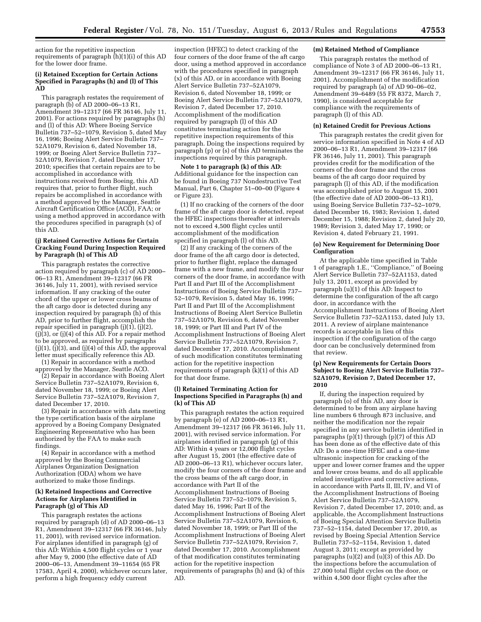action for the repetitive inspection requirements of paragraph (h)(1)(i) of this AD for the lower door frame.

#### **(i) Retained Exception for Certain Actions Specified in Paragraphs (h) and (l) of This AD**

This paragraph restates the requirement of paragraph (b) of AD 2000–06–13 R1, Amendment 39–12317 (66 FR 36146, July 11, 2001). For actions required by paragraphs (h) and (l) of this AD: Where Boeing Service Bulletin 737–52–1079, Revision 5, dated May 16, 1996; Boeing Alert Service Bulletin 737– 52A1079, Revision 6, dated November 18, 1999; or Boeing Alert Service Bulletin 737– 52A1079, Revision 7, dated December 17, 2010; specifies that certain repairs are to be accomplished in accordance with instructions received from Boeing, this AD requires that, prior to further flight, such repairs be accomplished in accordance with a method approved by the Manager, Seattle Aircraft Certification Office (ACO), FAA; or using a method approved in accordance with the procedures specified in paragraph (x) of this AD.

### **(j) Retained Corrective Actions for Certain Cracking Found During Inspection Required by Paragraph (h) of This AD**

This paragraph restates the corrective action required by paragraph (c) of AD 2000– 06–13 R1, Amendment 39–12317 (66 FR 36146, July 11, 2001), with revised service information. If any cracking of the outer chord of the upper or lower cross beams of the aft cargo door is detected during any inspection required by paragraph (h) of this AD, prior to further flight, accomplish the repair specified in paragraph  $(j)(1)$ ,  $(j)(2)$ ,  $(j)(3)$ , or  $(j)(4)$  of this AD. For a repair method to be approved, as required by paragraphs  $(j)(1), (j)(3),$  and  $(j)(4)$  of this  $\overline{AD}$ , the approval letter must specifically reference this AD.

(1) Repair in accordance with a method approved by the Manager, Seattle ACO.

(2) Repair in accordance with Boeing Alert Service Bulletin 737–52A1079, Revision 6, dated November 18, 1999; or Boeing Alert Service Bulletin 737–52A1079, Revision 7, dated December 17, 2010.

(3) Repair in accordance with data meeting the type certification basis of the airplane approved by a Boeing Company Designated Engineering Representative who has been authorized by the FAA to make such findings.

(4) Repair in accordance with a method approved by the Boeing Commercial Airplanes Organization Designation Authorization (ODA) whom we have authorized to make those findings.

### **(k) Retained Inspections and Corrective Actions for Airplanes Identified in Paragraph (g) of This AD**

This paragraph restates the actions required by paragraph (d) of AD 2000–06–13 R1, Amendment 39–12317 (66 FR 36146, July 11, 2001), with revised service information. For airplanes identified in paragraph (g) of this AD: Within 4,500 flight cycles or 1 year after May 9, 2000 (the effective date of AD 2000–06–13, Amendment 39–11654 (65 FR 17583, April 4, 2000), whichever occurs later, perform a high frequency eddy current

inspection (HFEC) to detect cracking of the four corners of the door frame of the aft cargo door, using a method approved in accordance with the procedures specified in paragraph (x) of this AD, or in accordance with Boeing Alert Service Bulletin 737–52A1079, Revision 6, dated November 18, 1999; or Boeing Alert Service Bulletin 737–52A1079, Revision 7, dated December 17, 2010. Accomplishment of the modification required by paragraph (l) of this AD constitutes terminating action for the repetitive inspection requirements of this paragraph. Doing the inspections required by paragraph (p) or (s) of this AD terminates the inspections required by this paragraph.

**Note 1 to paragraph (k) of this AD:**  Additional guidance for the inspection can be found in Boeing 737 Nondestructive Test Manual, Part 6, Chapter 51–00–00 (Figure 4 or Figure 23).

(1) If no cracking of the corners of the door frame of the aft cargo door is detected, repeat the HFEC inspections thereafter at intervals not to exceed 4,500 flight cycles until accomplishment of the modification specified in paragraph (l) of this AD.

(2) If any cracking of the corners of the door frame of the aft cargo door is detected, prior to further flight, replace the damaged frame with a new frame, and modify the four corners of the door frame, in accordance with Part II and Part III of the Accomplishment Instructions of Boeing Service Bulletin 737– 52–1079, Revision 5, dated May 16, 1996; Part II and Part III of the Accomplishment Instructions of Boeing Alert Service Bulletin 737–52A1079, Revision 6, dated November 18, 1999; or Part III and Part IV of the Accomplishment Instructions of Boeing Alert Service Bulletin 737–52A1079, Revision 7, dated December 17, 2010. Accomplishment of such modification constitutes terminating action for the repetitive inspection requirements of paragraph  $(k)(1)$  of this AD for that door frame.

#### **(l) Retained Terminating Action for Inspections Specified in Paragraphs (h) and (k) of This AD**

This paragraph restates the action required by paragraph (e) of AD 2000–06–13 R1, Amendment 39–12317 (66 FR 36146, July 11, 2001), with revised service information. For airplanes identified in paragraph (g) of this AD: Within 4 years or 12,000 flight cycles after August 15, 2001 (the effective date of AD 2000–06–13 R1), whichever occurs later, modify the four corners of the door frame and the cross beams of the aft cargo door, in accordance with Part II of the Accomplishment Instructions of Boeing Service Bulletin 737–52–1079, Revision 5, dated May 16, 1996; Part II of the Accomplishment Instructions of Boeing Alert Service Bulletin 737–52A1079, Revision 6, dated November 18, 1999; or Part III of the Accomplishment Instructions of Boeing Alert Service Bulletin 737–52A1079, Revision 7, dated December 17, 2010. Accomplishment of that modification constitutes terminating action for the repetitive inspection requirements of paragraphs (h) and (k) of this AD.

### **(m) Retained Method of Compliance**

This paragraph restates the method of compliance of Note 3 of AD 2000–06–13 R1, Amendment 39–12317 (66 FR 36146, July 11, 2001). Accomplishment of the modification required by paragraph (a) of AD 90–06–02, Amendment 39–6489 (55 FR 8372, March 7, 1990), is considered acceptable for compliance with the requirements of paragraph (l) of this AD.

#### **(n) Retained Credit for Previous Actions**

This paragraph restates the credit given for service information specified in Note 4 of AD 2000–06–13 R1, Amendment 39–12317 (66 FR 36146, July 11, 2001). This paragraph provides credit for the modification of the corners of the door frame and the cross beams of the aft cargo door required by paragraph (l) of this AD, if the modification was accomplished prior to August 15, 2001 (the effective date of AD 2000–06–13 R1), using Boeing Service Bulletin 737–52–1079, dated December 16, 1983; Revision 1, dated December 15, 1988; Revision 2, dated July 20, 1989; Revision 3, dated May 17, 1990; or Revision 4, dated February 21, 1991.

#### **(o) New Requirement for Determining Door Configuration**

At the applicable time specified in Table 1 of paragraph 1.E., ''Compliance,'' of Boeing Alert Service Bulletin 737–52A1153, dated July 13, 2011, except as provided by paragraph (u)(1) of this AD: Inspect to determine the configuration of the aft cargo door, in accordance with the Accomplishment Instructions of Boeing Alert Service Bulletin 737–52A1153, dated July 13, 2011. A review of airplane maintenance records is acceptable in lieu of this inspection if the configuration of the cargo door can be conclusively determined from that review.

### **(p) New Requirements for Certain Doors Subject to Boeing Alert Service Bulletin 737– 52A1079, Revision 7, Dated December 17, 2010**

If, during the inspection required by paragraph (o) of this AD, any door is determined to be from any airplane having line numbers 6 through 873 inclusive, and neither the modification nor the repair specified in any service bulletin identified in paragraphs (p)(1) through (p)(7) of this AD has been done as of the effective date of this AD: Do a one-time HFEC and a one-time ultrasonic inspection for cracking of the upper and lower corner frames and the upper and lower cross beams, and do all applicable related investigative and corrective actions, in accordance with Parts II, III, IV, and VI of the Accomplishment Instructions of Boeing Alert Service Bulletin 737–52A1079, Revision 7, dated December 17, 2010; and, as applicable, the Accomplishment Instructions of Boeing Special Attention Service Bulletin 737–52–1154, dated December 17, 2010, as revised by Boeing Special Attention Service Bulletin 737–52–1154, Revision 1, dated August 3, 2011; except as provided by paragraphs (u)(2) and (u)(3) of this AD. Do the inspections before the accumulation of 27,000 total flight cycles on the door, or within 4,500 door flight cycles after the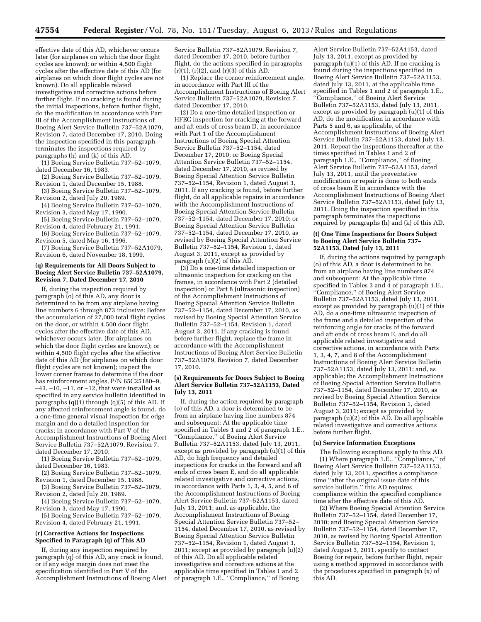effective date of this AD, whichever occurs later (for airplanes on which the door flight cycles are known); or within 4,500 flight cycles after the effective date of this AD (for airplanes on which door flight cycles are not known). Do all applicable related investigative and corrective actions before further flight. If no cracking is found during the initial inspections, before further flight, do the modification in accordance with Part III of the Accomplishment Instructions of Boeing Alert Service Bulletin 737–52A1079, Revision 7, dated December 17, 2010. Doing the inspection specified in this paragraph terminates the inspections required by paragraphs (h) and (k) of this AD.

(1) Boeing Service Bulletin 737–52–1079, dated December 16, 1983.

(2) Boeing Service Bulletin 737–52–1079, Revision 1, dated December 15, 1988.

(3) Boeing Service Bulletin 737–52–1079, Revision 2, dated July 20, 1989.

(4) Boeing Service Bulletin 737–52–1079, Revision 3, dated May 17, 1990.

(5) Boeing Service Bulletin 737–52–1079, Revision 4, dated February 21, 1991.

(6) Boeing Service Bulletin 737–52–1079, Revision 5, dated May 16, 1996.

(7) Boeing Service Bulletin 737–52A1079, Revision 6, dated November 18, 1999.

### **(q) Requirements for All Doors Subject to Boeing Alert Service Bulletin 737–52A1079, Revision 7, Dated December 17, 2010**

If, during the inspection required by paragraph (o) of this AD, any door is determined to be from any airplane having line numbers 6 through 873 inclusive: Before the accumulation of 27,000 total flight cycles on the door, or within 4,500 door flight cycles after the effective date of this AD, whichever occurs later, (for airplanes on which the door flight cycles are known); or within 4,500 flight cycles after the effective date of this AD (for airplanes on which door flight cycles are not known); inspect the lower corner frames to determine if the door has reinforcement angles, P/N 65C25180–9, –43, –10, –11, or –12, that were installed as specified in any service bulletin identified in paragraphs  $(q)(1)$  through  $(q)(5)$  of this AD. If any affected reinforcement angle is found, do a one-time general visual inspection for edge margin and do a detailed inspection for cracks; in accordance with Part V of the Accomplishment Instructions of Boeing Alert Service Bulletin 737–52A1079, Revision 7, dated December 17, 2010.

(1) Boeing Service Bulletin 737–52–1079, dated December 16, 1983.

(2) Boeing Service Bulletin 737–52–1079, Revision 1, dated December 15, 1988.

(3) Boeing Service Bulletin 737–52–1079, Revision 2, dated July 20, 1989.

(4) Boeing Service Bulletin 737–52–1079, Revision 3, dated May 17, 1990.

(5) Boeing Service Bulletin 737–52–1079, Revision 4, dated February 21, 1991.

## **(r) Corrective Actions for Inspections Specified in Paragraph (q) of This AD**

If, during any inspection required by paragraph (q) of this AD, any crack is found, or if any edge margin does not meet the specification identified in Part V of the Accomplishment Instructions of Boeing Alert Service Bulletin 737–52A1079, Revision 7, dated December 17, 2010, before further flight, do the actions specified in paragraphs  $(r)(1)$ ,  $(r)(2)$ , and  $(r)(3)$  of this AD.

(1) Replace the corner reinforcement angle, in accordance with Part III of the Accomplishment Instructions of Boeing Alert Service Bulletin 737–52A1079, Revision 7, dated December 17, 2010.

(2) Do a one-time detailed inspection or HFEC inspection for cracking at the forward and aft ends of cross beam D, in accordance with Part 1 of the Accomplishment Instructions of Boeing Special Attention Service Bulletin 737–52–1154, dated December 17, 2010; or Boeing Special Attention Service Bulletin 737–52–1154, dated December 17, 2010, as revised by Boeing Special Attention Service Bulletin 737–52–1154, Revision 1, dated August 3, 2011. If any cracking is found, before further flight, do all applicable repairs in accordance with the Accomplishment Instructions of Boeing Special Attention Service Bulletin 737–52–1154, dated December 17, 2010; or Boeing Special Attention Service Bulletin 737–52–1154, dated December 17, 2010, as revised by Boeing Special Attention Service Bulletin 737–52–1154, Revision 1, dated August 3, 2011, except as provided by paragraph (u)(2) of this AD.

(3) Do a one-time detailed inspection or ultrasonic inspection for cracking on the frames, in accordance with Part 2 (detailed inspection) or Part 8 (ultrasonic inspection) of the Accomplishment Instructions of Boeing Special Attention Service Bulletin 737–52–1154, dated December 17, 2010, as revised by Boeing Special Attention Service Bulletin 737–52–1154, Revision 1, dated August 3, 2011. If any cracking is found, before further flight, replace the frame in accordance with the Accomplishment Instructions of Boeing Alert Service Bulletin 737–52A1079, Revision 7, dated December 17, 2010.

#### **(s) Requirements for Doors Subject to Boeing Alert Service Bulletin 737–52A1153, Dated July 13, 2011**

If, during the action required by paragraph (o) of this AD, a door is determined to be from an airplane having line numbers 874 and subsequent: At the applicable time specified in Tables 1 and  $2$  of paragraph 1.E., ''Compliance,'' of Boeing Alert Service Bulletin 737–52A1153, dated July 13, 2011, except as provided by paragraph (u)(1) of this AD, do high frequency and detailed inspections for cracks in the forward and aft ends of cross beam E, and do all applicable related investigative and corrective actions, in accordance with Parts 1, 3, 4, 5, and 6 of the Accomplishment Instructions of Boeing Alert Service Bulletin 737–52A1153, dated July 13, 2011; and, as applicable, the Accomplishment Instructions of Boeing Special Attention Service Bulletin 737–52– 1154, dated December 17, 2010, as revised by Boeing Special Attention Service Bulletin  $737 - 52 - 1154$ , Revision 1, dated August 3, 2011; except as provided by paragraph (u)(2) of this AD. Do all applicable related investigative and corrective actions at the applicable time specified in Tables 1 and 2 of paragraph 1.E., ''Compliance,'' of Boeing

Alert Service Bulletin 737–52A1153, dated July 13, 2011, except as provided by paragraph (u)(1) of this AD. If no cracking is found during the inspections specified in Boeing Alert Service Bulletin 737–52A1153, dated July 13, 2011, at the applicable time specified in Tables 1 and 2 of paragraph 1.E., ''Compliance,'' of Boeing Alert Service Bulletin 737–52A1153, dated July 13, 2011, except as provided by paragraph (u)(1) of this AD, do the modification in accordance with Parts 5 and 6, as applicable, of the Accomplishment Instructions of Boeing Alert Service Bulletin 737–52A1153, dated July 13, 2011. Repeat the inspections thereafter at the times specified in Tables 1 and 2 of paragraph 1.E., ''Compliance,'' of Boeing Alert Service Bulletin 737–52A1153, dated July 13, 2011, until the preventative modification or repair is done to both ends of cross beam E in accordance with the Accomplishment Instructions of Boeing Alert Service Bulletin 737–52A1153, dated July 13, 2011. Doing the inspection specified in this paragraph terminates the inspections required by paragraphs (h) and (k) of this AD.

### **(t) One Time Inspections for Doors Subject to Boeing Alert Service Bulletin 737– 52A1153, Dated July 13, 2011**

If, during the actions required by paragraph (o) of this AD, a door is determined to be from an airplane having line numbers 874 and subsequent: At the applicable time specified in Tables 3 and 4 of paragraph 1.E., ''Compliance,'' of Boeing Alert Service Bulletin 737–52A1153, dated July 13, 2011, except as provided by paragraph (u)(1) of this AD, do a one-time ultrasonic inspection of the frame and a detailed inspection of the reinforcing angle for cracks of the forward and aft ends of cross beam E, and do all applicable related investigative and corrective actions, in accordance with Parts 1, 3, 4, 7, and 8 of the Accomplishment Instructions of Boeing Alert Service Bulletin 737–52A1153, dated July 13, 2011; and, as applicable; the Accomplishment Instructions of Boeing Special Attention Service Bulletin 737–52–1154, dated December 17, 2010, as revised by Boeing Special Attention Service Bulletin 737–52–1154, Revision 1, dated August 3, 2011; except as provided by paragraph (u)(2) of this AD. Do all applicable related investigative and corrective actions before further flight.

#### **(u) Service Information Exceptions**

The following exceptions apply to this AD. (1) Where paragraph 1.E., ''Compliance,'' of Boeing Alert Service Bulletin 737–52A1153, dated July 13, 2011, specifies a compliance time ''after the original issue date of this service bulletin,'' this AD requires compliance within the specified compliance time after the effective date of this AD.

(2) Where Boeing Special Attention Service Bulletin 737–52–1154, dated December 17, 2010; and Boeing Special Attention Service Bulletin 737–52–1154, dated December 17, 2010, as revised by Boeing Special Attention Service Bulletin 737–52–1154, Revision 1, dated August 3, 2011, specify to contact Boeing for repair, before further flight, repair using a method approved in accordance with the procedures specified in paragraph (x) of this AD.